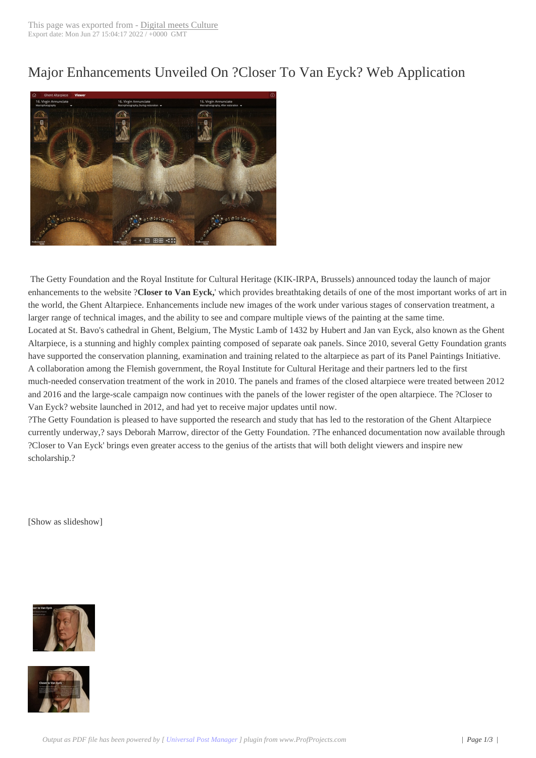## Major Enhanceme[nts Unveiled O](http://www.digitalmeetsculture.net/?p=46078)n ?Closer To Van Eyck? Web Application



The Getty Foundation and the Royal Institute for Cultural Heritage (KIK-IRPA, Brussels) announced today the launch of major enhancements to the website ?**Closer to Van Eyck,**' which provides breathtaking details of one of the most important works of art in the world, the Ghent Altarpiece. Enhancements include new images of the work under various stages of conservation treatment, a larger range of technical images, and the ability to see and compare multiple views of the painting at the same time. Located at St. Bavo's cathedral in Ghent, Belgium, The Mystic Lamb of 1432 by Hubert and Jan van Eyck, also known as the Ghent Altarpiece, is a stunning and highly complex painting composed of separate oak panels. Since 2010, several Getty Foundation grants have supported the conservation planning, examination and training related to the altarpiece as part of its Panel Paintings Initiative. A collaboration among the Flemish government, the Royal Institute for Cultural Heritage and their partners led to the first much-needed conservation treatment of the work in 2010. The panels and frames of the closed altarpiece were treated between 2012 and 2016 and the large-scale campaign now continues with the panels of the lower register of the open altarpiece. The ?Closer to Van Eyck? website launched in 2012, and had yet to receive major updates until now.

?The Getty Foundation is pleased to have supported the research and study that has led to the restoration of the Ghent Altarpiece currently underway,? says Deborah Marrow, director of the Getty Foundation. ?The enhanced documentation now available through ?Closer to Van Eyck' brings even greater access to the genius of the artists that will both delight viewers and inspire new scholarship.?

 [Show as slideshow] 



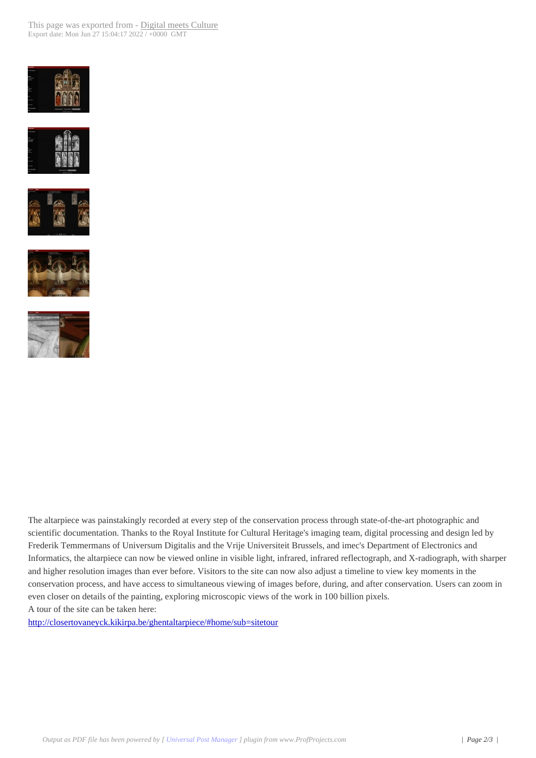









The altarpiece was painstakingly recorded at every step of the conservation process through state-of-the-art photographic and scientific documentation. Thanks to the Royal Institute for Cultural Heritage's imaging team, digital processing and design led by Frederik Temmermans of Universum Digitalis and the Vrije Universiteit Brussels, and imec's Department of Electronics and Informatics, the altarpiece can now be viewed online in visible light, infrared, infrared reflectograph, and X-radiograph, with sharper and higher resolution images than ever before. Visitors to the site can now also adjust a timeline to view key moments in the conservation process, and have access to simultaneous viewing of images before, during, and after conservation. Users can zoom in even closer on details of the painting, exploring microscopic views of the work in 100 billion pixels. A tour of the site can be taken here:

http://closertovaneyck.kikirpa.be/ghentaltarpiece/#home/sub=sitetour